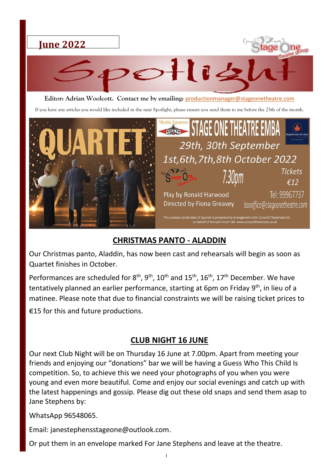

**Editor: Adrian Woolcott. Contact me by emailing:** [productionmanager@stageonetheatre.com](mailto:productionmanager@stageonetheatre.com)

If you have any articles you would like included in the next Spotlight, please ensure you send them to me before the 25th of the month.



### **CHRISTMAS PANTO - ALADDIN**

Our Christmas panto, Aladdin, has now been cast and rehearsals will begin as soon as Quartet finishes in October.

Performances are scheduled for  $8<sup>th</sup>$ ,  $9<sup>th</sup>$ ,  $10<sup>th</sup>$  and  $15<sup>th</sup>$ ,  $16<sup>th</sup>$ ,  $17<sup>th</sup>$  December. We have tentatively planned an earlier performance, starting at 6pm on Friday 9<sup>th</sup>, in lieu of a matinee. Please note that due to financial constraints we will be raising ticket prices to E15 for this and future productions.

#### **CLUB NIGHT 16 JUNE**

Our next Club Night will be on Thursday 16 June at 7.00pm. Apart from meeting your friends and enjoying our "donations" bar we will be having a Guess Who This Child Is competition. So, to achieve this we need your photographs of you when you were young and even more beautiful. Come and enjoy our social evenings and catch up with the latest happenings and gossip. Please dig out these old snaps and send them asap to Jane Stephens by:

WhatsApp 96548065.

Email: janestephensstageone@outlook.com.

Or put them in an envelope marked For Jane Stephens and leave at the theatre.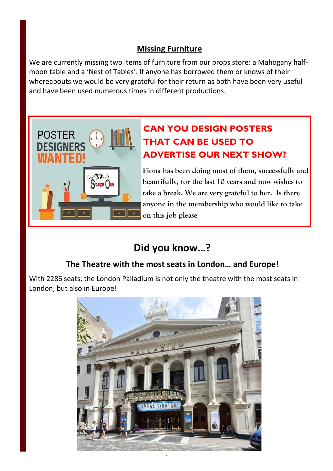### **Missing Furniture**

We are currently missing two items of furniture from our props store: a Mahogany halfmoon table and a 'Nest of Tables'. If anyone has borrowed them or knows of their whereabouts we would be very grateful for their return as both have been very useful and have been used numerous times in different productions.



## **CAN YOU DESIGN POSTERS THAT CAN BE USED TO ADVERTISE OUR NEXT SHOW?**

**Fiona has been doing most of them, successfully and beautifully, for the last 10 years and now wishes to take a break. We are very grateful to her. Is there anyone in the membership who would like to take on this job please**

# **Did you know…?**

### **The Theatre with the most seats in London… and Europe!**

With 2286 seats, the London Palladium is not only the theatre with the most seats in London, but also in Europe!